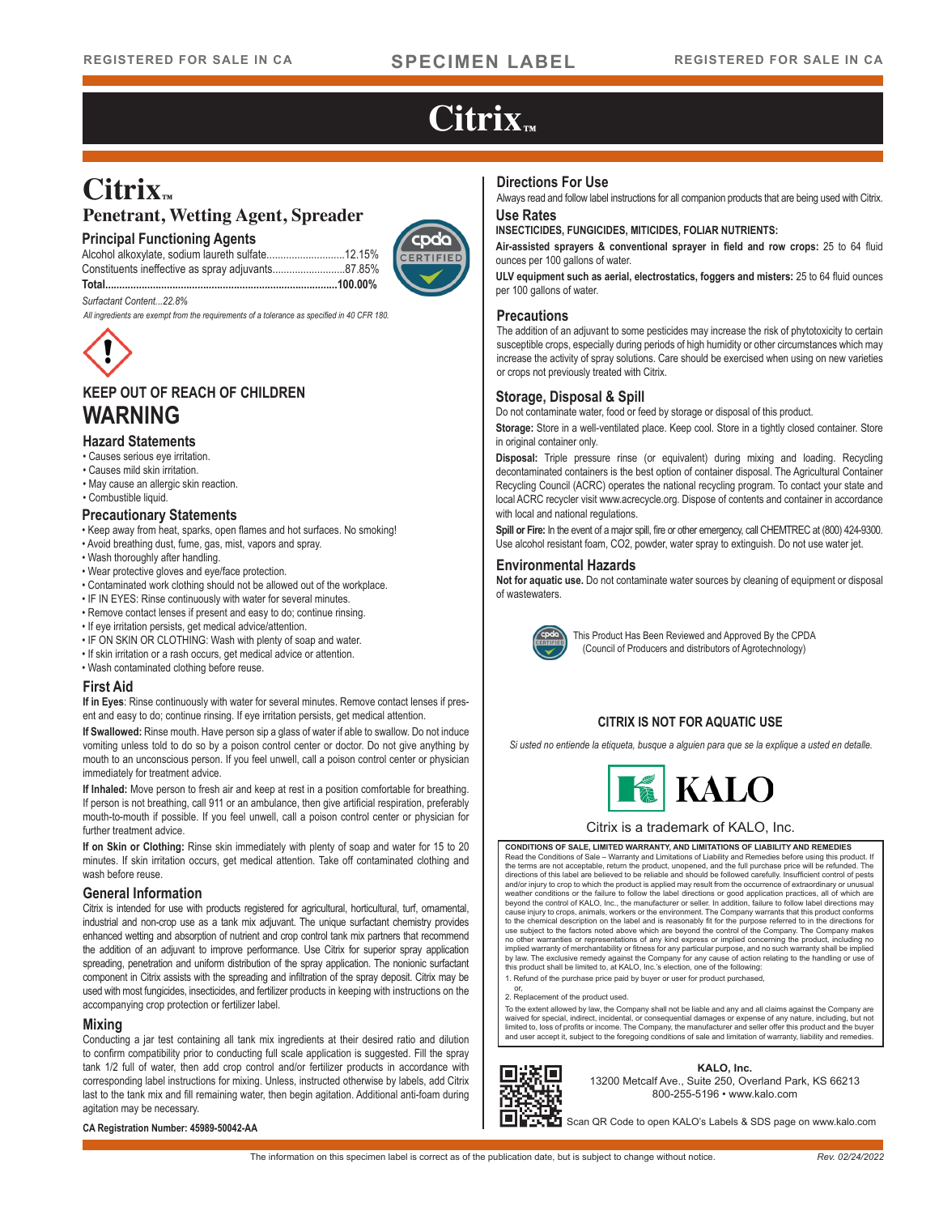# $Citrix_{m}$

## **Citrix™**

## **Penetrant, Wetting Agent, Spreader**

### **Principal Functioning Agents**

Alcohol alkoxylate, sodium laureth sulfate............................12.15% Constituents ineffective as spray adjuvants..........................87.85% **Total...................................................................................100.00%**



### *Surfactant Content...22.8%*

*All ingredients are exempt from the requirements of a tolerance as specified in 40 CFR 180.*



## **KEEP OUT OF REACH OF CHILDREN WARNING**

### **Hazard Statements**

- Causes serious eye irritation.
- Causes mild skin irritation.
- May cause an allergic skin reaction.
- Combustible liquid.

### **Precautionary Statements**

- Keep away from heat, sparks, open flames and hot surfaces. No smoking!
- Avoid breathing dust, fume, gas, mist, vapors and spray.
- Wash thoroughly after handling.
- Wear protective gloves and eye/face protection.
- Contaminated work clothing should not be allowed out of the workplace.
- IF IN EYES: Rinse continuously with water for several minutes.
- Remove contact lenses if present and easy to do; continue rinsing.
- If eye irritation persists, get medical advice/attention.
- IF ON SKIN OR CLOTHING: Wash with plenty of soap and water.
- If skin irritation or a rash occurs, get medical advice or attention.
- Wash contaminated clothing before reuse.

### **First Aid**

**If in Eyes**: Rinse continuously with water for several minutes. Remove contact lenses if present and easy to do; continue rinsing. If eye irritation persists, get medical attention.

**If Swallowed:** Rinse mouth. Have person sip a glass of water if able to swallow. Do not induce vomiting unless told to do so by a poison control center or doctor. Do not give anything by mouth to an unconscious person. If you feel unwell, call a poison control center or physician immediately for treatment advice.

**If Inhaled:** Move person to fresh air and keep at rest in a position comfortable for breathing. If person is not breathing, call 911 or an ambulance, then give artificial respiration, preferably mouth-to-mouth if possible. If you feel unwell, call a poison control center or physician for further treatment advice.

**If on Skin or Clothing:** Rinse skin immediately with plenty of soap and water for 15 to 20 minutes. If skin irritation occurs, get medical attention. Take off contaminated clothing and wash before reuse.

### **General Information**

Citrix is intended for use with products registered for agricultural, horticultural, turf, ornamental, industrial and non-crop use as a tank mix adjuvant. The unique surfactant chemistry provides enhanced wetting and absorption of nutrient and crop control tank mix partners that recommend the addition of an adjuvant to improve performance. Use Citrix for superior spray application spreading, penetration and uniform distribution of the spray application. The nonionic surfactant component in Citrix assists with the spreading and infiltration of the spray deposit. Citrix may be used with most fungicides, insecticides, and fertilizer products in keeping with instructions on the accompanying crop protection or fertilizer label.

### **Mixing**

Conducting a jar test containing all tank mix ingredients at their desired ratio and dilution to confirm compatibility prior to conducting full scale application is suggested. Fill the spray tank 1/2 full of water, then add crop control and/or fertilizer products in accordance with corresponding label instructions for mixing. Unless, instructed otherwise by labels, add Citrix last to the tank mix and fill remaining water, then begin agitation. Additional anti-foam during agitation may be necessary.

### **Directions For Use**

**Use Rates** Always read and follow label instructions for all companion products that are being used with Citrix.

#### **INSECTICIDES, FUNGICIDES, MITICIDES, FOLIAR NUTRIENTS:**

**Air-assisted sprayers & conventional sprayer in field and row crops:** 25 to 64 fluid ounces per 100 gallons of water.

**ULV equipment such as aerial, electrostatics, foggers and misters:** 25 to 64 fluid ounces per 100 gallons of water.

### **Precautions**

The addition of an adjuvant to some pesticides may increase the risk of phytotoxicity to certain susceptible crops, especially during periods of high humidity or other circumstances which may increase the activity of spray solutions. Care should be exercised when using on new varieties or crops not previously treated with Citrix.

### **Storage, Disposal & Spill**

Do not contaminate water, food or feed by storage or disposal of this product.

Storage: Store in a well-ventilated place. Keep cool. Store in a tightly closed container. Store in original container only.

**Disposal:** Triple pressure rinse (or equivalent) during mixing and loading. Recycling decontaminated containers is the best option of container disposal. The Agricultural Container Recycling Council (ACRC) operates the national recycling program. To contact your state and local ACRC recycler visit www.acrecycle.org. Dispose of contents and container in accordance with local and national regulations.

**Spill or Fire:** In the event of a major spill, fire or other emergency, call CHEMTREC at (800) 424-9300. Use alcohol resistant foam, CO2, powder, water spray to extinguish. Do not use water jet.

### **Environmental Hazards**

**Not for aquatic use.** Do not contaminate water sources by cleaning of equipment or disposal of wastewaters.



This Product Has Been Reviewed and Approved By the CPDA (Council of Producers and distributors of Agrotechnology)

## **CITRIX IS NOT FOR AQUATIC USE**

*Si usted no entiende la etiqueta, busque a alguien para que se la explique a usted en detalle.*



### Citrix is a trademark of KALO, Inc.

**CONDITIONS OF SALE, LIMITED WARRANTY, AND LIMITATIONS OF LIABILITY AND REMEDIES** Read the Conditions of Sale – Warranty and Limitations of Liability and Remedies before using this product. If<br>the terms are not acceptable, return the product, unopened, and the full purchase price will be refunded. The<br>d weather conditions or the failure to follow the label directions or good application practices, all of which are<br>beyond the control of KALO, Inc., the manufacturer or seller. In addition, failure to follow label directions to the chemical description on the label and is reasonably fit for the purpose referred to in the directions for use subject to the factors noted above which are beyond the control of the Company. The Company makes<br>no other warranties or representations of any kind express or implied concerning the product, including no<br>implied warra by law. The exclusive remedy against the Company for any cause of action relating to the handling or use of this product shall be limited to, at KALO, Inc.'s election, one of the following:

1. Refund of the purchase price paid by buyer or user for product purchased,

or, 2. Replacement of the product used.

To the extent allowed by law, the Company shall not be liable and any and all claims against the Company are waived for special, indirect, incidental, or consequential damages or expense of any nature, including, but not<br>limited to, loss of profits or income. The Company, the manufacturer and seller offer this product and the buy and user accept it, subject to the foregoing conditions of sale and limitation of warranty, liability and remedies.



**KALO, Inc.** 13200 Metcalf Ave., Suite 250, Overland Park, KS 66213 800-255-5196 • www.kalo.com

Scan QR Code to open KALO's Labels & SDS page on www.kalo.com